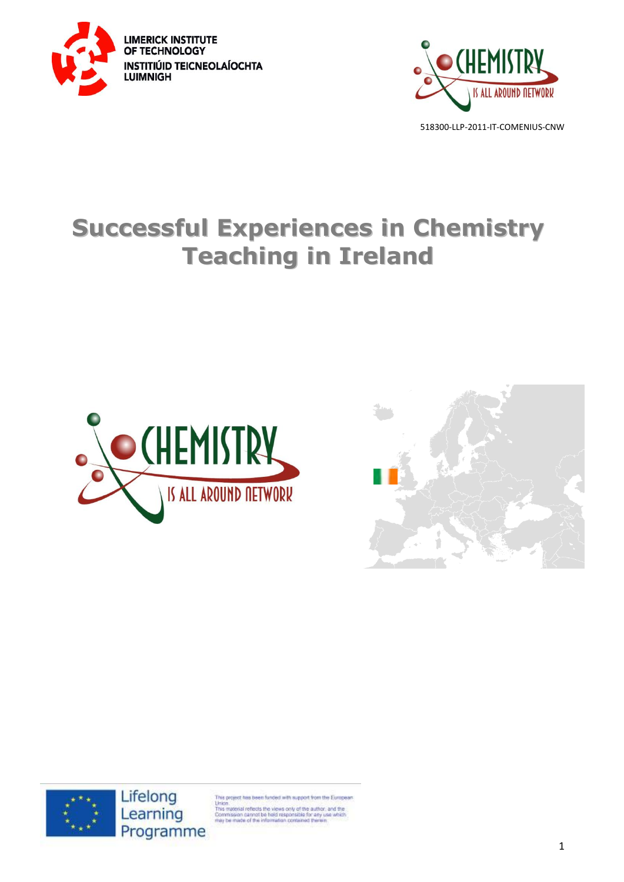



# **Successful Experiences in Chemistry Teaching in Ireland**







Lifelong Learning Programme

is project has been funded with support from the European

Union<br>This material reflects the views only of the author, and the<br>Commission cannot be hield responsible for any use which<br>may be made of the information contained therein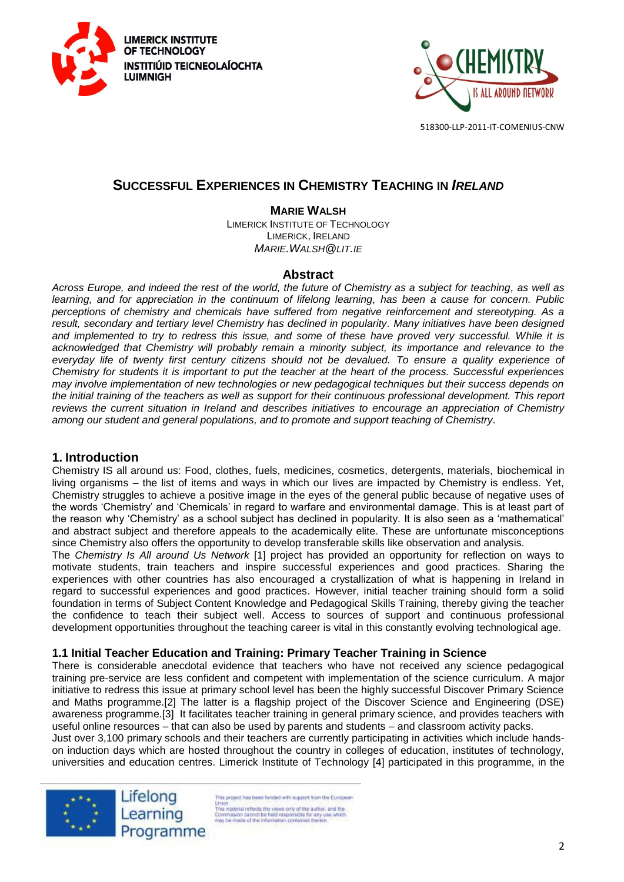



# **SUCCESSFUL EXPERIENCES IN CHEMISTRY TEACHING IN** *IRELAND*

## **MARIE WALSH**

LIMERICK INSTITUTE OF TECHNOLOGY LIMERICK, IRELAND *MARIE.WALSH@LIT.IE*

#### **Abstract**

*Across Europe, and indeed the rest of the world, the future of Chemistry as a subject for teaching, as well as learning, and for appreciation in the continuum of lifelong learning, has been a cause for concern. Public perceptions of chemistry and chemicals have suffered from negative reinforcement and stereotyping. As a result, secondary and tertiary level Chemistry has declined in popularity. Many initiatives have been designed and implemented to try to redress this issue, and some of these have proved very successful. While it is acknowledged that Chemistry will probably remain a minority subject, its importance and relevance to the everyday life of twenty first century citizens should not be devalued. To ensure a quality experience of Chemistry for students it is important to put the teacher at the heart of the process. Successful experiences may involve implementation of new technologies or new pedagogical techniques but their success depends on*  the initial training of the teachers as well as support for their continuous professional development. This report *reviews the current situation in Ireland and describes initiatives to encourage an appreciation of Chemistry among our student and general populations, and to promote and support teaching of Chemistry.*

## **1. Introduction**

Chemistry IS all around us: Food, clothes, fuels, medicines, cosmetics, detergents, materials, biochemical in living organisms – the list of items and ways in which our lives are impacted by Chemistry is endless. Yet, Chemistry struggles to achieve a positive image in the eyes of the general public because of negative uses of the words 'Chemistry' and 'Chemicals' in regard to warfare and environmental damage. This is at least part of the reason why 'Chemistry' as a school subject has declined in popularity. It is also seen as a 'mathematical' and abstract subject and therefore appeals to the academically elite. These are unfortunate misconceptions since Chemistry also offers the opportunity to develop transferable skills like observation and analysis.

The *Chemistry Is All around Us Network* [1] project has provided an opportunity for reflection on ways to motivate students, train teachers and inspire successful experiences and good practices. Sharing the experiences with other countries has also encouraged a crystallization of what is happening in Ireland in regard to successful experiences and good practices. However, initial teacher training should form a solid foundation in terms of Subject Content Knowledge and Pedagogical Skills Training, thereby giving the teacher the confidence to teach their subject well. Access to sources of support and continuous professional development opportunities throughout the teaching career is vital in this constantly evolving technological age.

## **1.1 Initial Teacher Education and Training: Primary Teacher Training in Science**

There is considerable anecdotal evidence that teachers who have not received any science pedagogical training pre-service are less confident and competent with implementation of the science curriculum. A major initiative to redress this issue at primary school level has been the highly successful Discover Primary Science and Maths programme.[2] The latter is a flagship project of the Discover Science and Engineering (DSE) awareness programme.[3] It facilitates teacher training in general primary science, and provides teachers with useful online resources – that can also be used by parents and students – and classroom activity packs.

Just over 3,100 primary schools and their teachers are currently participating in activities which include handson induction days which are hosted throughout the country in colleges of education, institutes of technology, universities and education centres. Limerick Institute of Technology [4] participated in this programme, in the

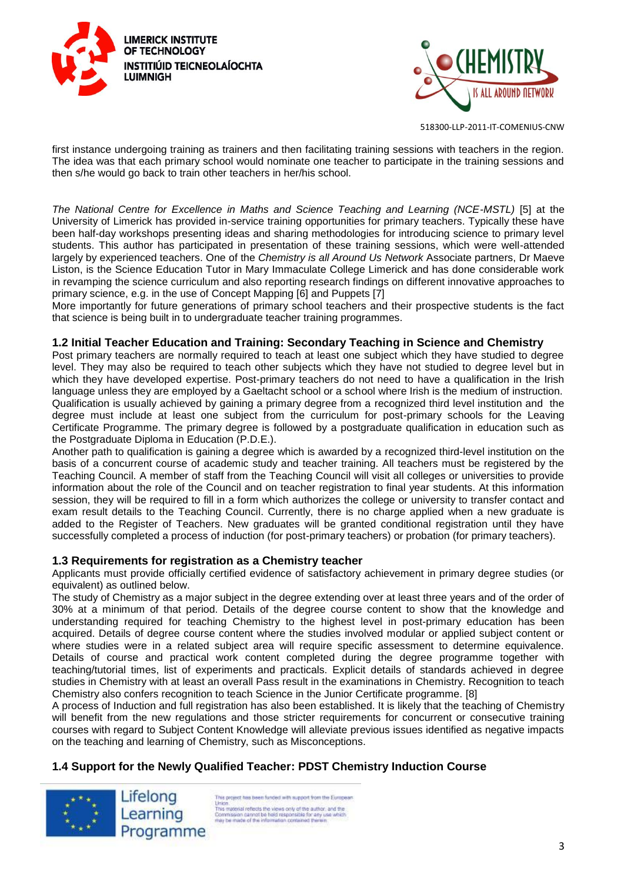



first instance undergoing training as trainers and then facilitating training sessions with teachers in the region. The idea was that each primary school would nominate one teacher to participate in the training sessions and then s/he would go back to train other teachers in her/his school.

*The National Centre for Excellence in Maths and Science Teaching and Learning (NCE-MSTL)* [5] at the University of Limerick has provided in-service training opportunities for primary teachers. Typically these have been half-day workshops presenting ideas and sharing methodologies for introducing science to primary level students. This author has participated in presentation of these training sessions, which were well-attended largely by experienced teachers. One of the *Chemistry is all Around Us Network* Associate partners, Dr Maeve Liston, is the Science Education Tutor in Mary Immaculate College Limerick and has done considerable work in revamping the science curriculum and also reporting research findings on different innovative approaches to primary science, e.g. in the use of Concept Mapping [6] and Puppets [7]

More importantly for future generations of primary school teachers and their prospective students is the fact that science is being built in to undergraduate teacher training programmes.

#### **1.2 Initial Teacher Education and Training: Secondary Teaching in Science and Chemistry**

Post primary teachers are normally required to teach at least one subject which they have studied to degree level. They may also be required to teach other subjects which they have not studied to degree level but in which they have developed expertise. Post-primary teachers do not need to have a qualification in the Irish language unless they are employed by a Gaeltacht school or a school where Irish is the medium of instruction. Qualification is usually achieved by gaining a primary degree from a recognized third level institution and the degree must include at least one subject from the curriculum for post-primary schools for the Leaving Certificate Programme. The primary degree is followed by a postgraduate qualification in education such as the Postgraduate Diploma in Education (P.D.E.).

Another path to qualification is gaining a degree which is awarded by a recognized third-level institution on the basis of a concurrent course of academic study and teacher training. All teachers must be registered by the Teaching Council. A member of staff from the Teaching Council will visit all colleges or universities to provide information about the role of the Council and on teacher registration to final year students. At this information session, they will be required to fill in a form which authorizes the college or university to transfer contact and exam result details to the Teaching Council. Currently, there is no charge applied when a new graduate is added to the Register of Teachers. New graduates will be granted conditional registration until they have successfully completed a process of induction (for post-primary teachers) or probation (for primary teachers).

#### **1.3 Requirements for registration as a Chemistry teacher**

Applicants must provide officially certified evidence of satisfactory achievement in primary degree studies (or equivalent) as outlined below.

The study of Chemistry as a major subject in the degree extending over at least three years and of the order of 30% at a minimum of that period. Details of the degree course content to show that the knowledge and understanding required for teaching Chemistry to the highest level in post-primary education has been acquired. Details of degree course content where the studies involved modular or applied subject content or where studies were in a related subject area will require specific assessment to determine equivalence. Details of course and practical work content completed during the degree programme together with teaching/tutorial times, list of experiments and practicals. Explicit details of standards achieved in degree studies in Chemistry with at least an overall Pass result in the examinations in Chemistry. Recognition to teach Chemistry also confers recognition to teach Science in the Junior Certificate programme. [8]

A process of Induction and full registration has also been established. It is likely that the teaching of Chemistry will benefit from the new regulations and those stricter requirements for concurrent or consecutive training courses with regard to Subject Content Knowledge will alleviate previous issues identified as negative impacts on the teaching and learning of Chemistry, such as Misconceptions.

## **1.4 Support for the Newly Qualified Teacher: PDST Chemistry Induction Course**

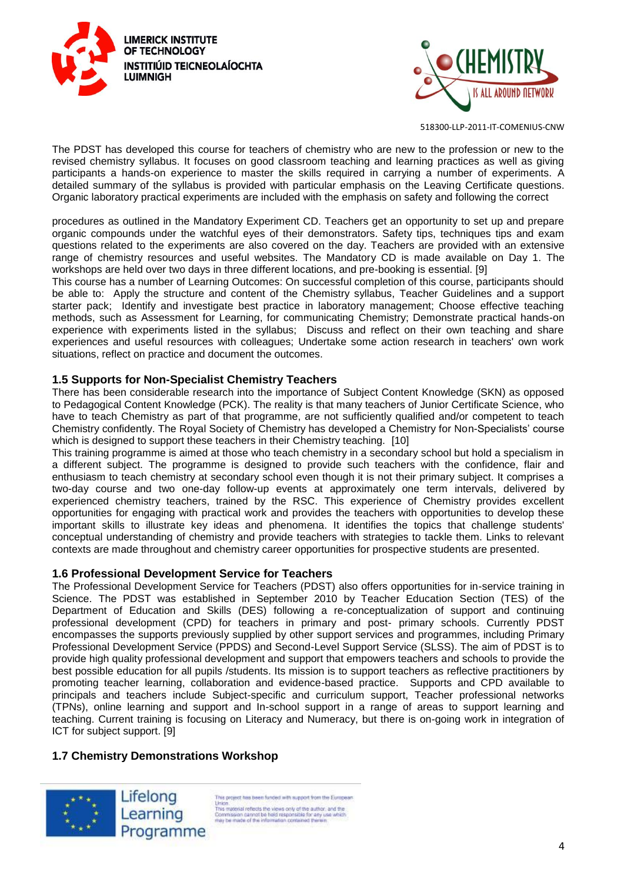



The PDST has developed this course for teachers of chemistry who are new to the profession or new to the revised chemistry syllabus. It focuses on good classroom teaching and learning practices as well as giving participants a hands-on experience to master the skills required in carrying a number of experiments. A detailed summary of the syllabus is provided with particular emphasis on the Leaving Certificate questions. Organic laboratory practical experiments are included with the emphasis on safety and following the correct

procedures as outlined in the Mandatory Experiment CD. Teachers get an opportunity to set up and prepare organic compounds under the watchful eyes of their demonstrators. Safety tips, techniques tips and exam questions related to the experiments are also covered on the day. Teachers are provided with an extensive range of chemistry resources and useful websites. The Mandatory CD is made available on Day 1. The workshops are held over two days in three different locations, and pre-booking is essential. [9]

This course has a number of Learning Outcomes: On successful completion of this course, participants should be able to: Apply the structure and content of the Chemistry syllabus, Teacher Guidelines and a support starter pack; Identify and investigate best practice in laboratory management; Choose effective teaching methods, such as Assessment for Learning, for communicating Chemistry; Demonstrate practical hands-on experience with experiments listed in the syllabus; Discuss and reflect on their own teaching and share experiences and useful resources with colleagues; Undertake some action research in teachers' own work situations, reflect on practice and document the outcomes.

#### **1.5 Supports for Non-Specialist Chemistry Teachers**

There has been considerable research into the importance of Subject Content Knowledge (SKN) as opposed to Pedagogical Content Knowledge (PCK). The reality is that many teachers of Junior Certificate Science, who have to teach Chemistry as part of that programme, are not sufficiently qualified and/or competent to teach Chemistry confidently. The Royal Society of Chemistry has developed a Chemistry for Non-Specialists' course which is designed to support these teachers in their Chemistry teaching. [10]

This training programme is aimed at those who teach chemistry in a secondary school but hold a specialism in a different subject. The programme is designed to provide such teachers with the confidence, flair and enthusiasm to teach chemistry at secondary school even though it is not their primary subject. It comprises a two-day course and two one-day follow-up events at approximately one term intervals, delivered by experienced chemistry teachers, trained by the RSC. This experience of Chemistry provides excellent opportunities for engaging with practical work and provides the teachers with opportunities to develop these important skills to illustrate key ideas and phenomena. It identifies the topics that challenge students' conceptual understanding of chemistry and provide teachers with strategies to tackle them. Links to relevant contexts are made throughout and chemistry career opportunities for prospective students are presented.

#### **1.6 Professional Development Service for Teachers**

The Professional Development Service for Teachers (PDST) also offers opportunities for in-service training in Science. The PDST was established in September 2010 by Teacher Education Section (TES) of the Department of Education and Skills (DES) following a re-conceptualization of support and continuing professional development (CPD) for teachers in primary and post- primary schools. Currently PDST encompasses the supports previously supplied by other support services and programmes, including Primary Professional Development Service (PPDS) and Second-Level Support Service (SLSS). The aim of PDST is to provide high quality professional development and support that empowers teachers and schools to provide the best possible education for all pupils /students. Its mission is to support teachers as reflective practitioners by promoting teacher learning, collaboration and evidence-based practice. Supports and CPD available to principals and teachers include Subject-specific and curriculum support, Teacher professional networks (TPNs), online learning and support and In-school support in a range of areas to support learning and teaching. Current training is focusing on Literacy and Numeracy, but there is on-going work in integration of ICT for subject support. [9]

## **1.7 Chemistry Demonstrations Workshop**



is project has been funded with support from the European Union.<br>
This material reflects the views only of the author, and the<br>
This material reflects the views only of the author.<br>
Commission cannot be hisld responsible for any use which<br>
may be made of the information contained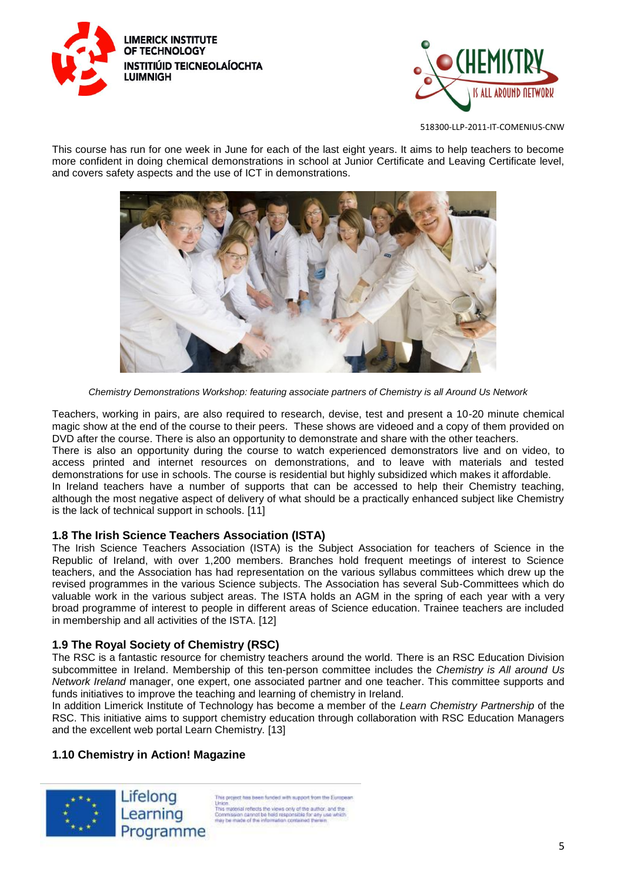



This course has run for one week in June for each of the last eight years. It aims to help teachers to become more confident in doing chemical demonstrations in school at Junior Certificate and Leaving Certificate level, and covers safety aspects and the use of ICT in demonstrations.



*Chemistry Demonstrations Workshop: featuring associate partners of Chemistry is all Around Us Network* 

Teachers, working in pairs, are also required to research, devise, test and present a 10-20 minute chemical magic show at the end of the course to their peers. These shows are videoed and a copy of them provided on DVD after the course. There is also an opportunity to demonstrate and share with the other teachers.

There is also an opportunity during the course to watch experienced demonstrators live and on video, to access printed and internet resources on demonstrations, and to leave with materials and tested demonstrations for use in schools. The course is residential but highly subsidized which makes it affordable. In Ireland teachers have a number of supports that can be accessed to help their Chemistry teaching,

although the most negative aspect of delivery of what should be a practically enhanced subject like Chemistry is the lack of technical support in schools. [11]

## **1.8 The Irish Science Teachers Association (ISTA)**

The Irish Science Teachers Association (ISTA) is the Subject Association for teachers of Science in the Republic of Ireland, with over 1,200 members. Branches hold frequent meetings of interest to Science teachers, and the Association has had representation on the various syllabus committees which drew up the revised programmes in the various Science subjects. The Association has several Sub-Committees which do valuable work in the various subject areas. The ISTA holds an AGM in the spring of each year with a very broad programme of interest to people in different areas of Science education. Trainee teachers are included in membership and all activities of the ISTA. [12]

# **1.9 The Royal Society of Chemistry (RSC)**

The RSC is a fantastic resource for chemistry teachers around the world. There is an RSC Education Division subcommittee in Ireland. Membership of this ten-person committee includes the *Chemistry is All around Us Network Ireland* manager, one expert, one associated partner and one teacher. This committee supports and funds initiatives to improve the teaching and learning of chemistry in Ireland.

In addition Limerick Institute of Technology has become a member of the *Learn Chemistry Partnership* of the RSC. This initiative aims to support chemistry education through collaboration with RSC Education Managers and the excellent web portal Learn Chemistry. [13]

# **1.10 Chemistry in Action! Magazine**

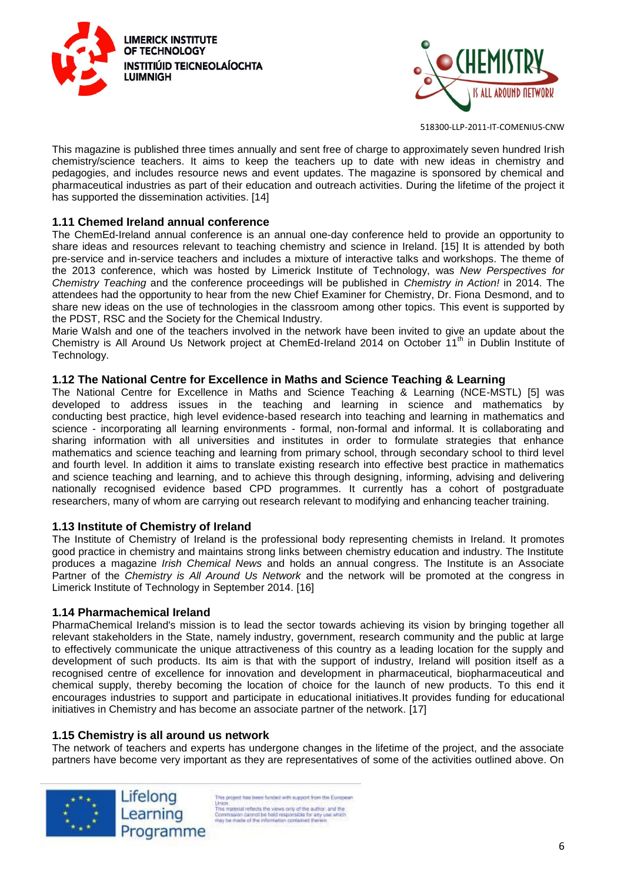



This magazine is published three times annually and sent free of charge to approximately seven hundred Irish chemistry/science teachers. It aims to keep the teachers up to date with new ideas in chemistry and pedagogies, and includes resource news and event updates. The magazine is sponsored by chemical and pharmaceutical industries as part of their education and outreach activities. During the lifetime of the project it has supported the dissemination activities. [14]

#### **1.11 Chemed Ireland annual conference**

The ChemEd-Ireland annual conference is an annual one-day conference held to provide an opportunity to share ideas and resources relevant to teaching chemistry and science in Ireland. [15] It is attended by both pre-service and in-service teachers and includes a mixture of interactive talks and workshops. The theme of the 2013 conference, which was hosted by Limerick Institute of Technology, was *New Perspectives for Chemistry Teaching* and the conference proceedings will be published in *Chemistry in Action!* in 2014. The attendees had the opportunity to hear from the new Chief Examiner for Chemistry, Dr. Fiona Desmond, and to share new ideas on the use of technologies in the classroom among other topics. This event is supported by the PDST, RSC and the Society for the Chemical Industry.

Marie Walsh and one of the teachers involved in the network have been invited to give an update about the Chemistry is All Around Us Network project at ChemEd-Ireland 2014 on October 11<sup>th</sup> in Dublin Institute of Technology.

#### **1.12 The National Centre for Excellence in Maths and Science Teaching & Learning**

The National Centre for Excellence in Maths and Science Teaching & Learning (NCE-MSTL) [5] was developed to address issues in the teaching and learning in science and mathematics by conducting best practice, high level evidence-based research into teaching and learning in mathematics and science - incorporating all learning environments - formal, non-formal and informal. It is collaborating and sharing information with all universities and institutes in order to formulate strategies that enhance mathematics and science teaching and learning from primary school, through secondary school to third level and fourth level. In addition it aims to translate existing research into effective best practice in mathematics and science teaching and learning, and to achieve this through designing, informing, advising and delivering nationally recognised evidence based CPD programmes. It currently has a cohort of postgraduate researchers, many of whom are carrying out research relevant to modifying and enhancing teacher training.

#### **1.13 Institute of Chemistry of Ireland**

The Institute of Chemistry of Ireland is the professional body representing chemists in Ireland. It promotes good practice in chemistry and maintains strong links between chemistry education and industry. The Institute produces a magazine *Irish Chemical News* and holds an annual congress. The Institute is an Associate Partner of the *Chemistry is All Around Us Network* and the network will be promoted at the congress in Limerick Institute of Technology in September 2014. [16]

#### **1.14 Pharmachemical Ireland**

PharmaChemical Ireland's mission is to lead the sector towards achieving its vision by bringing together all relevant stakeholders in the State, namely industry, government, research community and the public at large to effectively communicate the unique attractiveness of this country as a leading location for the supply and development of such products. Its aim is that with the support of industry, Ireland will position itself as a recognised centre of excellence for innovation and development in pharmaceutical, biopharmaceutical and chemical supply, thereby becoming the location of choice for the launch of new products. To this end it encourages industries to support and participate in educational initiatives.It provides funding for educational initiatives in Chemistry and has become an associate partner of the network. [17]

#### **1.15 Chemistry is all around us network**

The network of teachers and experts has undergone changes in the lifetime of the project, and the associate partners have become very important as they are representatives of some of the activities outlined above. On

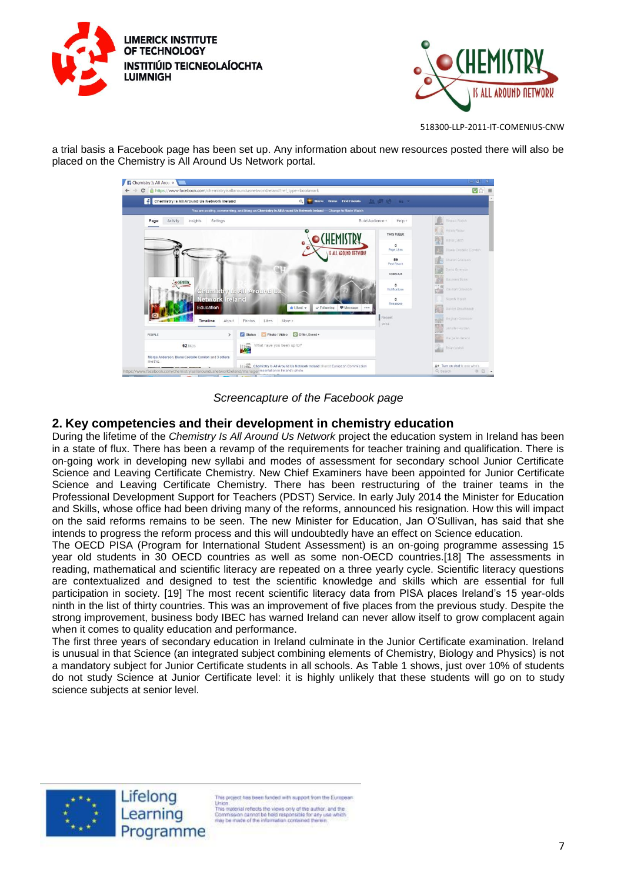



a trial basis a Facebook page has been set up. Any information about new resources posted there will also be placed on the Chemistry is All Around Us Network portal.



*Screencapture of the Facebook page*

## **2. Key competencies and their development in chemistry education**

During the lifetime of the *Chemistry Is All Around Us Network* project the education system in Ireland has been in a state of flux. There has been a revamp of the requirements for teacher training and qualification. There is on-going work in developing new syllabi and modes of assessment for secondary school Junior Certificate Science and Leaving Certificate Chemistry. New Chief Examiners have been appointed for Junior Certificate Science and Leaving Certificate Chemistry. There has been restructuring of the trainer teams in the Professional Development Support for Teachers (PDST) Service. In early July 2014 the Minister for Education and Skills, whose office had been driving many of the reforms, announced his resignation. How this will impact on the said reforms remains to be seen. The new Minister for Education, Jan O'Sullivan, has said that she intends to progress the reform process and this will undoubtedly have an effect on Science education.

The OECD PISA (Program for International Student Assessment) is an on-going programme assessing 15 year old students in 30 OECD countries as well as some non-OECD countries.[18] The assessments in reading, mathematical and scientific literacy are repeated on a three yearly cycle. Scientific literacy questions are contextualized and designed to test the scientific knowledge and skills which are essential for full participation in society. [19] The most recent scientific literacy data from PISA places Ireland's 15 year-olds ninth in the list of thirty countries. This was an improvement of five places from the previous study. Despite the strong improvement, business body IBEC has warned Ireland can never allow itself to grow complacent again when it comes to quality education and performance.

The first three years of secondary education in Ireland culminate in the Junior Certificate examination. Ireland is unusual in that Science (an integrated subject combining elements of Chemistry, Biology and Physics) is not a mandatory subject for Junior Certificate students in all schools. As Table 1 shows, just over 10% of students do not study Science at Junior Certificate level: it is highly unlikely that these students will go on to study science subjects at senior level.



Lifelong Learning Programme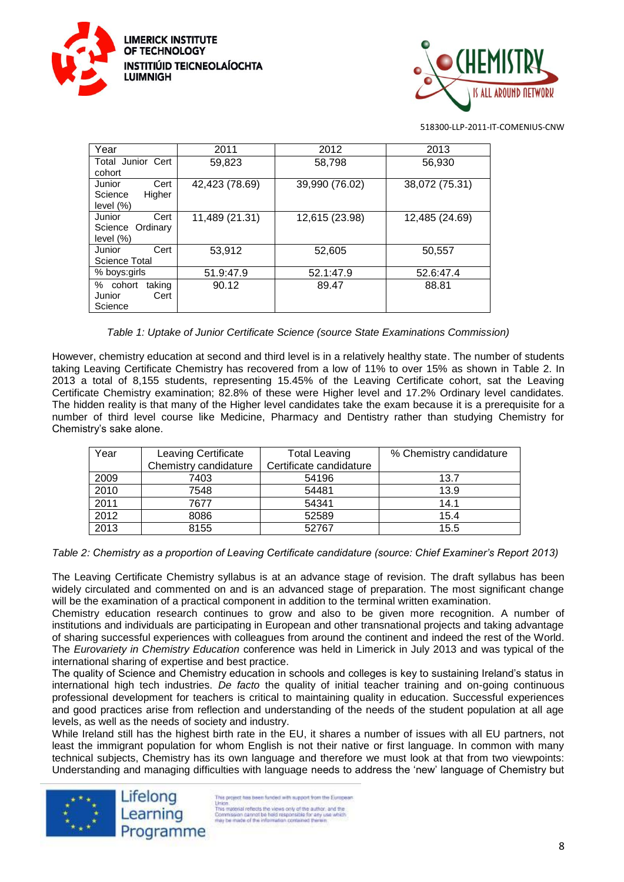



| Year                                                | 2011           | 2012           | 2013           |
|-----------------------------------------------------|----------------|----------------|----------------|
| Total Junior Cert<br>cohort                         | 59,823         | 58,798         | 56,930         |
| Cert<br>Junior<br>Science<br>Higher<br>level $(\%)$ | 42,423 (78.69) | 39,990 (76.02) | 38,072 (75.31) |
| Cert<br>Junior<br>Science Ordinary<br>level $(\%)$  | 11,489 (21.31) | 12,615 (23.98) | 12,485 (24.69) |
| Cert<br>Junior<br>Science Total                     | 53,912         | 52,605         | 50,557         |
| % boys:girls                                        | 51.9:47.9      | 52.1:47.9      | 52.6:47.4      |
| % cohort<br>taking<br>Cert<br>Junior<br>Science     | 90.12          | 89.47          | 88.81          |

*Table 1: Uptake of Junior Certificate Science (source State Examinations Commission)*

However, chemistry education at second and third level is in a relatively healthy state. The number of students taking Leaving Certificate Chemistry has recovered from a low of 11% to over 15% as shown in Table 2. In 2013 a total of 8,155 students, representing 15.45% of the Leaving Certificate cohort, sat the Leaving Certificate Chemistry examination; 82.8% of these were Higher level and 17.2% Ordinary level candidates. The hidden reality is that many of the Higher level candidates take the exam because it is a prerequisite for a number of third level course like Medicine, Pharmacy and Dentistry rather than studying Chemistry for Chemistry's sake alone.

| Year | Leaving Certificate   | <b>Total Leaving</b>    | % Chemistry candidature |
|------|-----------------------|-------------------------|-------------------------|
|      | Chemistry candidature | Certificate candidature |                         |
| 2009 | 7403                  | 54196                   | 13.7                    |
| 2010 | 7548                  | 54481                   | 13.9                    |
| 2011 | 7677                  | 54341                   | 14.1                    |
| 2012 | 8086                  | 52589                   | 15.4                    |
| 2013 | 8155                  | 52767                   | 15.5                    |

*Table 2: Chemistry as a proportion of Leaving Certificate candidature (source: Chief Examiner's Report 2013)*

The Leaving Certificate Chemistry syllabus is at an advance stage of revision. The draft syllabus has been widely circulated and commented on and is an advanced stage of preparation. The most significant change will be the examination of a practical component in addition to the terminal written examination.

Chemistry education research continues to grow and also to be given more recognition. A number of institutions and individuals are participating in European and other transnational projects and taking advantage of sharing successful experiences with colleagues from around the continent and indeed the rest of the World. The *Eurovariety in Chemistry Education* conference was held in Limerick in July 2013 and was typical of the international sharing of expertise and best practice.

The quality of Science and Chemistry education in schools and colleges is key to sustaining Ireland's status in international high tech industries. *De facto* the quality of initial teacher training and on-going continuous professional development for teachers is critical to maintaining quality in education. Successful experiences and good practices arise from reflection and understanding of the needs of the student population at all age levels, as well as the needs of society and industry.

While Ireland still has the highest birth rate in the EU, it shares a number of issues with all EU partners, not least the immigrant population for whom English is not their native or first language. In common with many technical subjects, Chemistry has its own language and therefore we must look at that from two viewpoints: Understanding and managing difficulties with language needs to address the 'new' language of Chemistry but

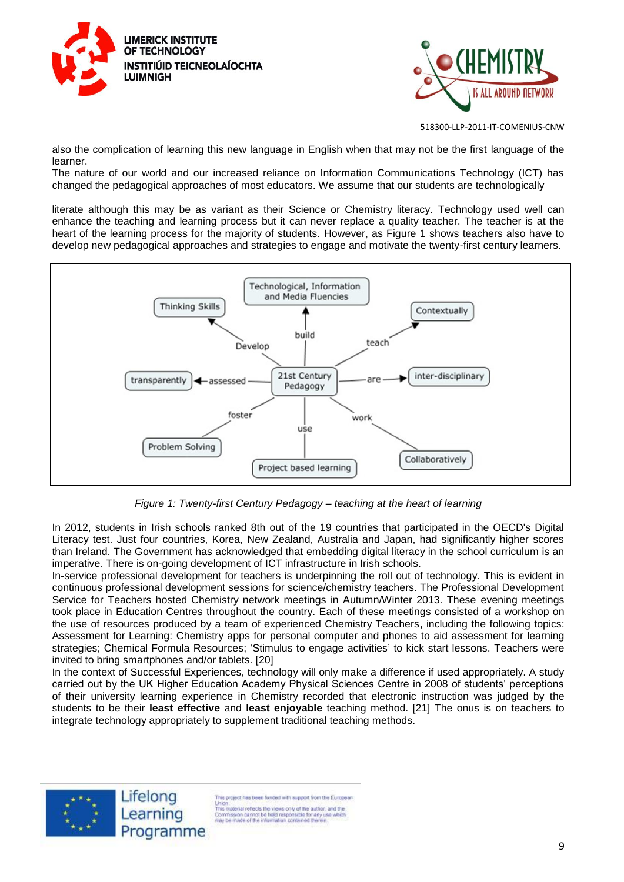



also the complication of learning this new language in English when that may not be the first language of the learner.

The nature of our world and our increased reliance on Information Communications Technology (ICT) has changed the pedagogical approaches of most educators. We assume that our students are technologically

literate although this may be as variant as their Science or Chemistry literacy. Technology used well can enhance the teaching and learning process but it can never replace a quality teacher. The teacher is at the heart of the learning process for the majority of students. However, as Figure 1 shows teachers also have to develop new pedagogical approaches and strategies to engage and motivate the twenty-first century learners.



*Figure 1: Twenty-first Century Pedagogy – teaching at the heart of learning*

In 2012, students in Irish schools ranked 8th out of the 19 countries that participated in the OECD's Digital Literacy test. Just four countries, Korea, New Zealand, Australia and Japan, had significantly higher scores than Ireland. The Government has acknowledged that embedding digital literacy in the school curriculum is an imperative. There is on-going development of ICT infrastructure in Irish schools.

In-service professional development for teachers is underpinning the roll out of technology. This is evident in continuous professional development sessions for science/chemistry teachers. The Professional Development Service for Teachers hosted Chemistry network meetings in Autumn/Winter 2013. These evening meetings took place in Education Centres throughout the country. Each of these meetings consisted of a workshop on the use of resources produced by a team of experienced Chemistry Teachers, including the following topics: Assessment for Learning: Chemistry apps for personal computer and phones to aid assessment for learning strategies; Chemical Formula Resources; 'Stimulus to engage activities' to kick start lessons. Teachers were invited to bring smartphones and/or tablets. [20]

In the context of Successful Experiences, technology will only make a difference if used appropriately. A study carried out by the UK Higher Education Academy Physical Sciences Centre in 2008 of students' perceptions of their university learning experience in Chemistry recorded that electronic instruction was judged by the students to be their **least effective** and **least enjoyable** teaching method. [21] The onus is on teachers to integrate technology appropriately to supplement traditional teaching methods.

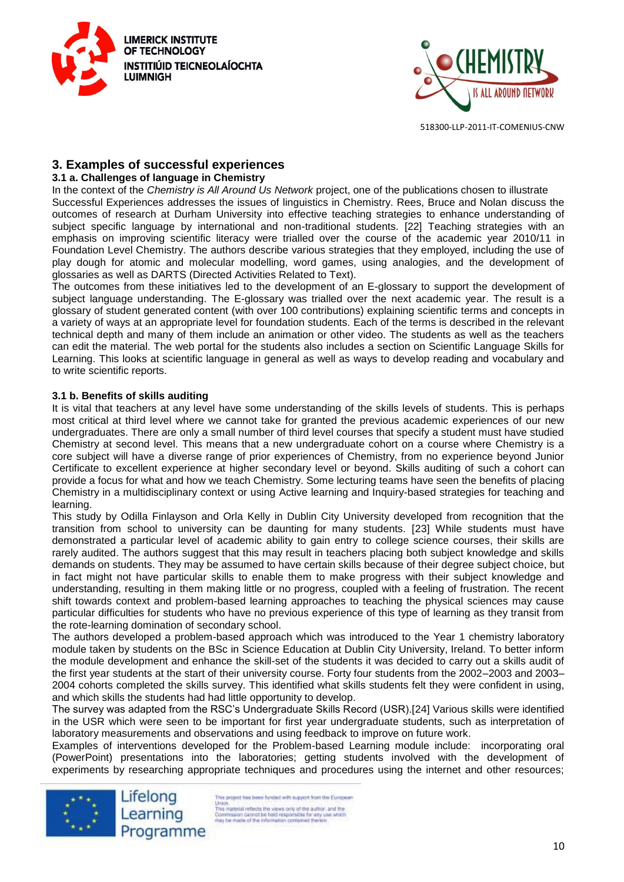



## **3. Examples of successful experiences**

#### **3.1 a. Challenges of language in Chemistry**

In the context of the *Chemistry is All Around Us Network* project, one of the publications chosen to illustrate Successful Experiences addresses the issues of linguistics in Chemistry. Rees, Bruce and Nolan discuss the outcomes of research at Durham University into effective teaching strategies to enhance understanding of subject specific language by international and non-traditional students. [22] Teaching strategies with an emphasis on improving scientific literacy were trialled over the course of the academic year 2010/11 in Foundation Level Chemistry. The authors describe various strategies that they employed, including the use of play dough for atomic and molecular modelling, word games, using analogies, and the development of glossaries as well as DARTS (Directed Activities Related to Text).

The outcomes from these initiatives led to the development of an E-glossary to support the development of subject language understanding. The E-glossary was trialled over the next academic year. The result is a glossary of student generated content (with over 100 contributions) explaining scientific terms and concepts in a variety of ways at an appropriate level for foundation students. Each of the terms is described in the relevant technical depth and many of them include an animation or other video. The students as well as the teachers can edit the material. The web portal for the students also includes a section on Scientific Language Skills for Learning. This looks at scientific language in general as well as ways to develop reading and vocabulary and to write scientific reports.

#### **3.1 b. Benefits of skills auditing**

It is vital that teachers at any level have some understanding of the skills levels of students. This is perhaps most critical at third level where we cannot take for granted the previous academic experiences of our new undergraduates. There are only a small number of third level courses that specify a student must have studied Chemistry at second level. This means that a new undergraduate cohort on a course where Chemistry is a core subject will have a diverse range of prior experiences of Chemistry, from no experience beyond Junior Certificate to excellent experience at higher secondary level or beyond. Skills auditing of such a cohort can provide a focus for what and how we teach Chemistry. Some lecturing teams have seen the benefits of placing Chemistry in a multidisciplinary context or using Active learning and Inquiry-based strategies for teaching and learning.

This study by Odilla Finlayson and Orla Kelly in Dublin City University developed from recognition that the transition from school to university can be daunting for many students. [23] While students must have demonstrated a particular level of academic ability to gain entry to college science courses, their skills are rarely audited. The authors suggest that this may result in teachers placing both subject knowledge and skills demands on students. They may be assumed to have certain skills because of their degree subject choice, but in fact might not have particular skills to enable them to make progress with their subject knowledge and understanding, resulting in them making little or no progress, coupled with a feeling of frustration. The recent shift towards context and problem-based learning approaches to teaching the physical sciences may cause particular difficulties for students who have no previous experience of this type of learning as they transit from the rote-learning domination of secondary school.

The authors developed a problem-based approach which was introduced to the Year 1 chemistry laboratory module taken by students on the BSc in Science Education at Dublin City University, Ireland. To better inform the module development and enhance the skill-set of the students it was decided to carry out a skills audit of the first year students at the start of their university course. Forty four students from the 2002–2003 and 2003– 2004 cohorts completed the skills survey. This identified what skills students felt they were confident in using, and which skills the students had had little opportunity to develop.

The survey was adapted from the RSC's Undergraduate Skills Record (USR).[24] Various skills were identified in the USR which were seen to be important for first year undergraduate students, such as interpretation of laboratory measurements and observations and using feedback to improve on future work.

Examples of interventions developed for the Problem-based Learning module include: incorporating oral (PowerPoint) presentations into the laboratories; getting students involved with the development of experiments by researching appropriate techniques and procedures using the internet and other resources;



is project has been funded with support from the European Union.<br>
This material reflects the views only of the author, and the<br>
This material reflects the views only of the author.<br>
Commission cannot be hisld responsible for any use which<br>
may be made of the information contained Programme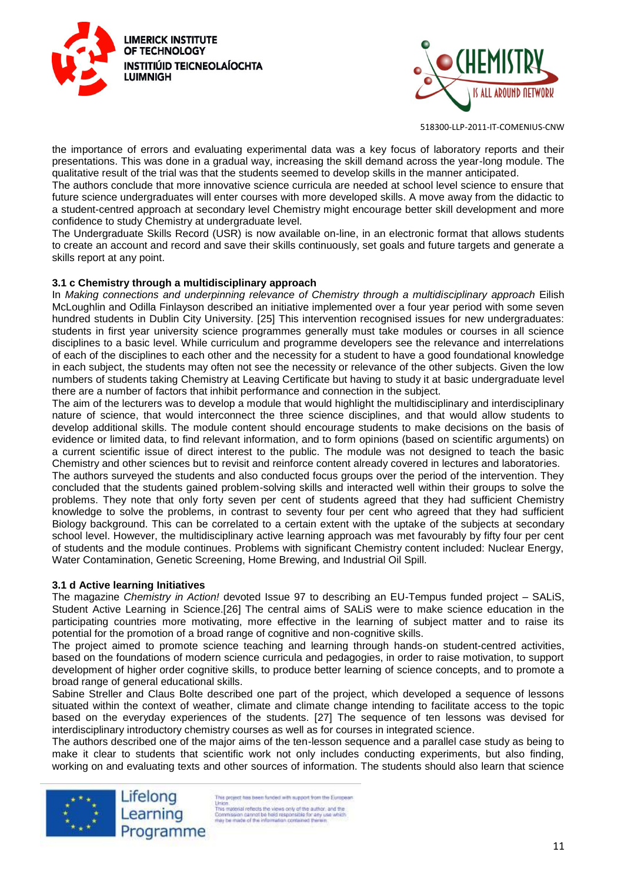



the importance of errors and evaluating experimental data was a key focus of laboratory reports and their presentations. This was done in a gradual way, increasing the skill demand across the year-long module. The qualitative result of the trial was that the students seemed to develop skills in the manner anticipated.

The authors conclude that more innovative science curricula are needed at school level science to ensure that future science undergraduates will enter courses with more developed skills. A move away from the didactic to a student-centred approach at secondary level Chemistry might encourage better skill development and more confidence to study Chemistry at undergraduate level.

The Undergraduate Skills Record (USR) is now available on-line, in an electronic format that allows students to create an account and record and save their skills continuously, set goals and future targets and generate a skills report at any point.

#### **3.1 c Chemistry through a multidisciplinary approach**

In *Making connections and underpinning relevance of Chemistry through a multidisciplinary approach* Eilish McLoughlin and Odilla Finlayson described an initiative implemented over a four year period with some seven hundred students in Dublin City University. [25] This intervention recognised issues for new undergraduates: students in first year university science programmes generally must take modules or courses in all science disciplines to a basic level. While curriculum and programme developers see the relevance and interrelations of each of the disciplines to each other and the necessity for a student to have a good foundational knowledge in each subject, the students may often not see the necessity or relevance of the other subjects. Given the low numbers of students taking Chemistry at Leaving Certificate but having to study it at basic undergraduate level there are a number of factors that inhibit performance and connection in the subject.

The aim of the lecturers was to develop a module that would highlight the multidisciplinary and interdisciplinary nature of science, that would interconnect the three science disciplines, and that would allow students to develop additional skills. The module content should encourage students to make decisions on the basis of evidence or limited data, to find relevant information, and to form opinions (based on scientific arguments) on a current scientific issue of direct interest to the public. The module was not designed to teach the basic Chemistry and other sciences but to revisit and reinforce content already covered in lectures and laboratories.

The authors surveyed the students and also conducted focus groups over the period of the intervention. They concluded that the students gained problem-solving skills and interacted well within their groups to solve the problems. They note that only forty seven per cent of students agreed that they had sufficient Chemistry knowledge to solve the problems, in contrast to seventy four per cent who agreed that they had sufficient Biology background. This can be correlated to a certain extent with the uptake of the subjects at secondary school level. However, the multidisciplinary active learning approach was met favourably by fifty four per cent of students and the module continues. Problems with significant Chemistry content included: Nuclear Energy, Water Contamination, Genetic Screening, Home Brewing, and Industrial Oil Spill.

#### **3.1 d Active learning Initiatives**

The magazine *Chemistry in Action!* devoted Issue 97 to describing an EU-Tempus funded project – SALiS, Student Active Learning in Science.[26] The central aims of SALiS were to make science education in the participating countries more motivating, more effective in the learning of subject matter and to raise its potential for the promotion of a broad range of cognitive and non-cognitive skills.

The project aimed to promote science teaching and learning through hands-on student-centred activities, based on the foundations of modern science curricula and pedagogies, in order to raise motivation, to support development of higher order cognitive skills, to produce better learning of science concepts, and to promote a broad range of general educational skills.

Sabine Streller and Claus Bolte described one part of the project, which developed a sequence of lessons situated within the context of weather, climate and climate change intending to facilitate access to the topic based on the everyday experiences of the students. [27] The sequence of ten lessons was devised for interdisciplinary introductory chemistry courses as well as for courses in integrated science.

The authors described one of the major aims of the ten-lesson sequence and a parallel case study as being to make it clear to students that scientific work not only includes conducting experiments, but also finding, working on and evaluating texts and other sources of information. The students should also learn that science

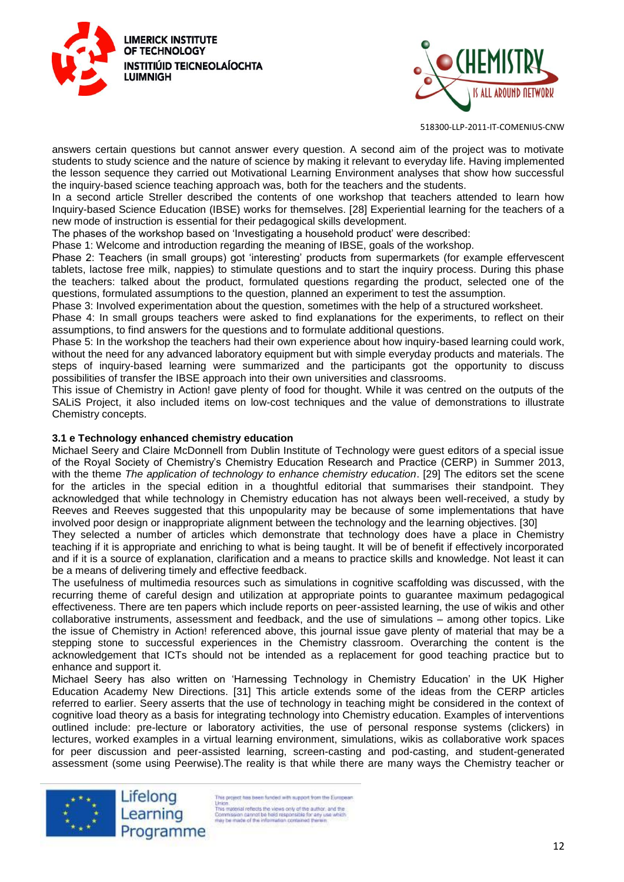



answers certain questions but cannot answer every question. A second aim of the project was to motivate students to study science and the nature of science by making it relevant to everyday life. Having implemented the lesson sequence they carried out Motivational Learning Environment analyses that show how successful the inquiry-based science teaching approach was, both for the teachers and the students.

In a second article Streller described the contents of one workshop that teachers attended to learn how Inquiry-based Science Education (IBSE) works for themselves. [28] Experiential learning for the teachers of a new mode of instruction is essential for their pedagogical skills development.

The phases of the workshop based on 'Investigating a household product' were described:

Phase 1: Welcome and introduction regarding the meaning of IBSE, goals of the workshop.

Phase 2: Teachers (in small groups) got 'interesting' products from supermarkets (for example effervescent tablets, lactose free milk, nappies) to stimulate questions and to start the inquiry process. During this phase the teachers: talked about the product, formulated questions regarding the product, selected one of the questions, formulated assumptions to the question, planned an experiment to test the assumption.

Phase 3: Involved experimentation about the question, sometimes with the help of a structured worksheet.

Phase 4: In small groups teachers were asked to find explanations for the experiments, to reflect on their assumptions, to find answers for the questions and to formulate additional questions.

Phase 5: In the workshop the teachers had their own experience about how inquiry-based learning could work, without the need for any advanced laboratory equipment but with simple everyday products and materials. The steps of inquiry-based learning were summarized and the participants got the opportunity to discuss possibilities of transfer the IBSE approach into their own universities and classrooms.

This issue of Chemistry in Action! gave plenty of food for thought. While it was centred on the outputs of the SALiS Project, it also included items on low-cost techniques and the value of demonstrations to illustrate Chemistry concepts.

#### **3.1 e Technology enhanced chemistry education**

Michael Seery and Claire McDonnell from Dublin Institute of Technology were guest editors of a special issue of the Royal Society of Chemistry's Chemistry Education Research and Practice (CERP) in Summer 2013, with the theme *The application of technology to enhance chemistry education*. [29] The editors set the scene for the articles in the special edition in a thoughtful editorial that summarises their standpoint. They acknowledged that while technology in Chemistry education has not always been well-received, a study by Reeves and Reeves suggested that this unpopularity may be because of some implementations that have involved poor design or inappropriate alignment between the technology and the learning objectives. [30]

They selected a number of articles which demonstrate that technology does have a place in Chemistry teaching if it is appropriate and enriching to what is being taught. It will be of benefit if effectively incorporated and if it is a source of explanation, clarification and a means to practice skills and knowledge. Not least it can be a means of delivering timely and effective feedback.

The usefulness of multimedia resources such as simulations in cognitive scaffolding was discussed, with the recurring theme of careful design and utilization at appropriate points to guarantee maximum pedagogical effectiveness. There are ten papers which include reports on peer-assisted learning, the use of wikis and other collaborative instruments, assessment and feedback, and the use of simulations – among other topics. Like the issue of Chemistry in Action! referenced above, this journal issue gave plenty of material that may be a stepping stone to successful experiences in the Chemistry classroom. Overarching the content is the acknowledgement that ICTs should not be intended as a replacement for good teaching practice but to enhance and support it.

Michael Seery has also written on 'Harnessing Technology in Chemistry Education' in the UK Higher Education Academy New Directions. [31] This article extends some of the ideas from the CERP articles referred to earlier. Seery asserts that the use of technology in teaching might be considered in the context of cognitive load theory as a basis for integrating technology into Chemistry education. Examples of interventions outlined include: pre-lecture or laboratory activities, the use of personal response systems (clickers) in lectures, worked examples in a virtual learning environment, simulations, wikis as collaborative work spaces for peer discussion and peer-assisted learning, screen-casting and pod-casting, and student-generated assessment (some using Peerwise).The reality is that while there are many ways the Chemistry teacher or



Lifelong Learning Programme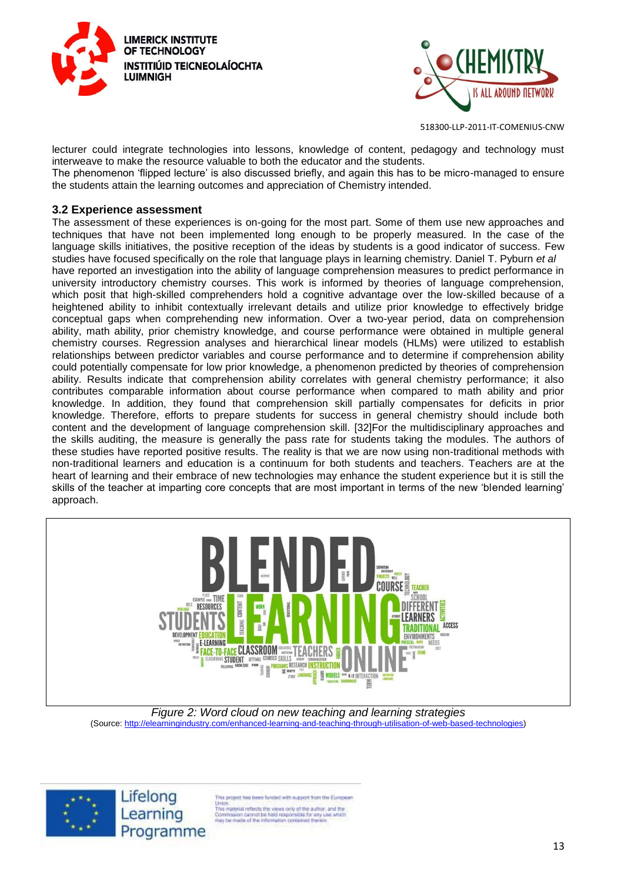



lecturer could integrate technologies into lessons, knowledge of content, pedagogy and technology must interweave to make the resource valuable to both the educator and the students.

The phenomenon 'flipped lecture' is also discussed briefly, and again this has to be micro-managed to ensure the students attain the learning outcomes and appreciation of Chemistry intended.

#### **3.2 Experience assessment**

The assessment of these experiences is on-going for the most part. Some of them use new approaches and techniques that have not been implemented long enough to be properly measured. In the case of the language skills initiatives, the positive reception of the ideas by students is a good indicator of success. Few studies have focused specifically on the role that language plays in learning chemistry. Daniel T. Pyburn *et al* have reported an investigation into the ability of language comprehension measures to predict performance in university introductory chemistry courses. This work is informed by theories of language comprehension, which posit that high-skilled comprehenders hold a cognitive advantage over the low-skilled because of a heightened ability to inhibit contextually irrelevant details and utilize prior knowledge to effectively bridge conceptual gaps when comprehending new information. Over a two-year period, data on comprehension ability, math ability, prior chemistry knowledge, and course performance were obtained in multiple general chemistry courses. Regression analyses and hierarchical linear models (HLMs) were utilized to establish relationships between predictor variables and course performance and to determine if comprehension ability could potentially compensate for low prior knowledge, a phenomenon predicted by theories of comprehension ability. Results indicate that comprehension ability correlates with general chemistry performance; it also contributes comparable information about course performance when compared to math ability and prior knowledge. In addition, they found that comprehension skill partially compensates for deficits in prior knowledge. Therefore, efforts to prepare students for success in general chemistry should include both content and the development of language comprehension skill. [32]For the multidisciplinary approaches and the skills auditing, the measure is generally the pass rate for students taking the modules. The authors of these studies have reported positive results. The reality is that we are now using non-traditional methods with non-traditional learners and education is a continuum for both students and teachers. Teachers are at the heart of learning and their embrace of new technologies may enhance the student experience but it is still the skills of the teacher at imparting core concepts that are most important in terms of the new 'blended learning' approach.



*Figure 2: Word cloud on new teaching and learning strategies*  (Source: [http://elearningindustry.com/enhanced-learning-and-teaching-through-utilisation-of-web-based-technologies\)](http://elearningindustry.com/enhanced-learning-and-teaching-through-utilisation-of-web-based-technologies)



is project has been funded with support from the European

Union<br>This material reflects the views only of the author, and the<br>Commission cannot be held responsible for any use which<br>may be made of the information contained therein.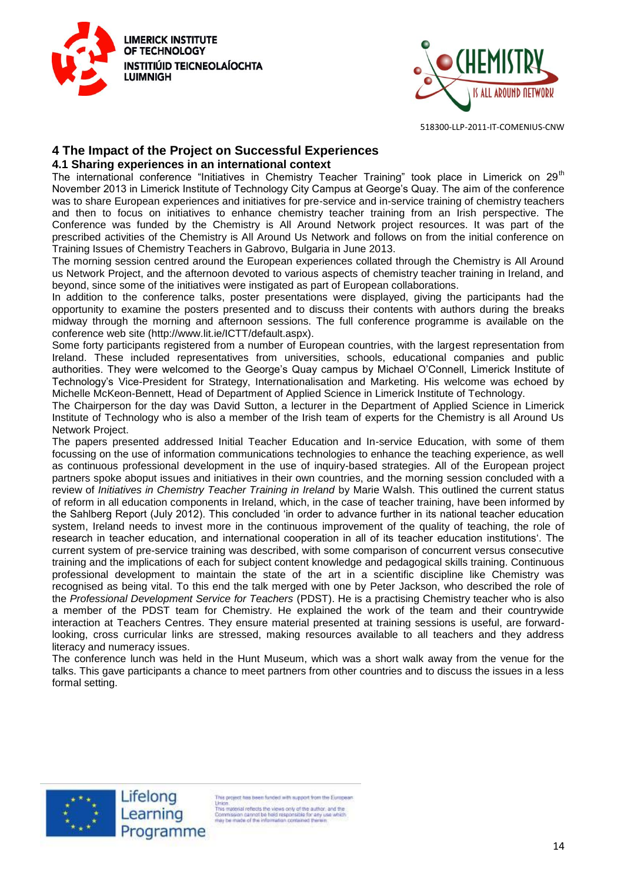



## **4 The Impact of the Project on Successful Experiences**

#### **4.1 Sharing experiences in an international context**

The international conference "Initiatives in Chemistry Teacher Training" took place in Limerick on 29<sup>th</sup> November 2013 in Limerick Institute of Technology City Campus at George's Quay. The aim of the conference was to share European experiences and initiatives for pre-service and in-service training of chemistry teachers and then to focus on initiatives to enhance chemistry teacher training from an Irish perspective. The Conference was funded by the Chemistry is All Around Network project resources. It was part of the prescribed activities of the Chemistry is All Around Us Network and follows on from the initial conference on Training Issues of Chemistry Teachers in Gabrovo, Bulgaria in June 2013.

The morning session centred around the European experiences collated through the Chemistry is All Around us Network Project, and the afternoon devoted to various aspects of chemistry teacher training in Ireland, and beyond, since some of the initiatives were instigated as part of European collaborations.

In addition to the conference talks, poster presentations were displayed, giving the participants had the opportunity to examine the posters presented and to discuss their contents with authors during the breaks midway through the morning and afternoon sessions. The full conference programme is available on the conference web site (http://www.lit.ie/ICTT/default.aspx).

Some forty participants registered from a number of European countries, with the largest representation from Ireland. These included representatives from universities, schools, educational companies and public authorities. They were welcomed to the George's Quay campus by Michael O'Connell, Limerick Institute of Technology's Vice-President for Strategy, Internationalisation and Marketing. His welcome was echoed by Michelle McKeon-Bennett, Head of Department of Applied Science in Limerick Institute of Technology.

The Chairperson for the day was David Sutton, a lecturer in the Department of Applied Science in Limerick Institute of Technology who is also a member of the Irish team of experts for the Chemistry is all Around Us Network Project.

The papers presented addressed Initial Teacher Education and In-service Education, with some of them focussing on the use of information communications technologies to enhance the teaching experience, as well as continuous professional development in the use of inquiry-based strategies. All of the European project partners spoke aboput issues and initiatives in their own countries, and the morning session concluded with a review of *Initiatives in Chemistry Teacher Training in Ireland* by Marie Walsh. This outlined the current status of reform in all education components in Ireland, which, in the case of teacher training, have been informed by the Sahlberg Report (July 2012). This concluded 'in order to advance further in its national teacher education system, Ireland needs to invest more in the continuous improvement of the quality of teaching, the role of research in teacher education, and international cooperation in all of its teacher education institutions'. The current system of pre-service training was described, with some comparison of concurrent versus consecutive training and the implications of each for subject content knowledge and pedagogical skills training. Continuous professional development to maintain the state of the art in a scientific discipline like Chemistry was recognised as being vital. To this end the talk merged with one by Peter Jackson, who described the role of the *Professional Development Service for Teachers* (PDST). He is a practising Chemistry teacher who is also a member of the PDST team for Chemistry. He explained the work of the team and their countrywide interaction at Teachers Centres. They ensure material presented at training sessions is useful, are forwardlooking, cross curricular links are stressed, making resources available to all teachers and they address literacy and numeracy issues.

The conference lunch was held in the Hunt Museum, which was a short walk away from the venue for the talks. This gave participants a chance to meet partners from other countries and to discuss the issues in a less formal setting.



Lifelong Learning Programme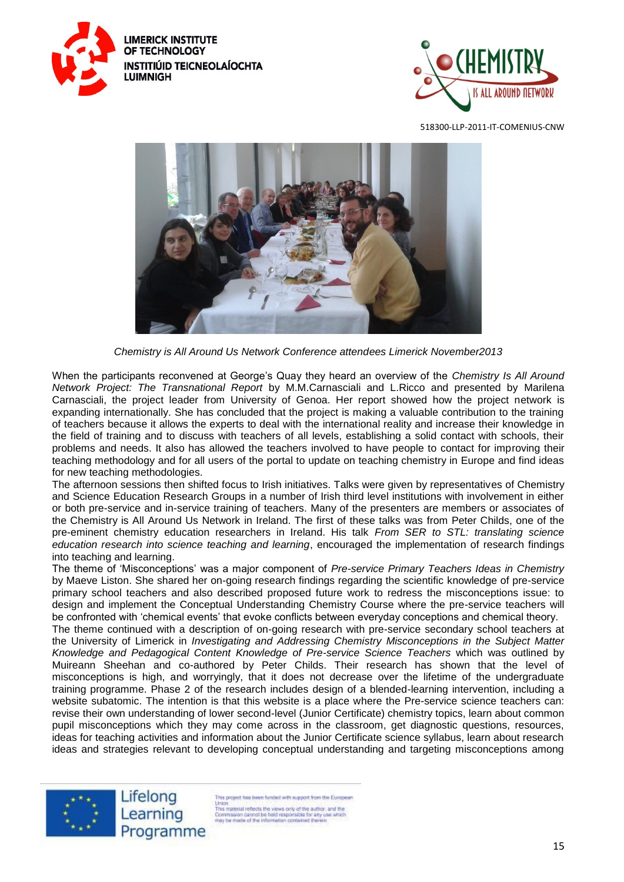





*Chemistry is All Around Us Network Conference attendees Limerick November2013*

When the participants reconvened at George's Quay they heard an overview of the *Chemistry Is All Around Network Project: The Transnational Report* by M.M.Carnasciali and L.Ricco and presented by Marilena Carnasciali, the project leader from University of Genoa. Her report showed how the project network is expanding internationally. She has concluded that the project is making a valuable contribution to the training of teachers because it allows the experts to deal with the international reality and increase their knowledge in the field of training and to discuss with teachers of all levels, establishing a solid contact with schools, their problems and needs. It also has allowed the teachers involved to have people to contact for improving their teaching methodology and for all users of the portal to update on teaching chemistry in Europe and find ideas for new teaching methodologies.

The afternoon sessions then shifted focus to Irish initiatives. Talks were given by representatives of Chemistry and Science Education Research Groups in a number of Irish third level institutions with involvement in either or both pre-service and in-service training of teachers. Many of the presenters are members or associates of the Chemistry is All Around Us Network in Ireland. The first of these talks was from Peter Childs, one of the pre-eminent chemistry education researchers in Ireland. His talk *From SER to STL: translating science education research into science teaching and learning*, encouraged the implementation of research findings into teaching and learning.

The theme of 'Misconceptions' was a major component of *Pre-service Primary Teachers Ideas in Chemistry* by Maeve Liston. She shared her on-going research findings regarding the scientific knowledge of pre-service primary school teachers and also described proposed future work to redress the misconceptions issue: to design and implement the Conceptual Understanding Chemistry Course where the pre-service teachers will be confronted with 'chemical events' that evoke conflicts between everyday conceptions and chemical theory.

The theme continued with a description of on-going research with pre-service secondary school teachers at the University of Limerick in *Investigating and Addressing Chemistry Misconceptions in the Subject Matter Knowledge and Pedagogical Content Knowledge of Pre-service Science Teachers* which was outlined by Muireann Sheehan and co-authored by Peter Childs. Their research has shown that the level of misconceptions is high, and worryingly, that it does not decrease over the lifetime of the undergraduate training programme. Phase 2 of the research includes design of a blended-learning intervention, including a website subatomic. The intention is that this website is a place where the Pre-service science teachers can: revise their own understanding of lower second-level (Junior Certificate) chemistry topics, learn about common pupil misconceptions which they may come across in the classroom, get diagnostic questions, resources, ideas for teaching activities and information about the Junior Certificate science syllabus, learn about research ideas and strategies relevant to developing conceptual understanding and targeting misconceptions among

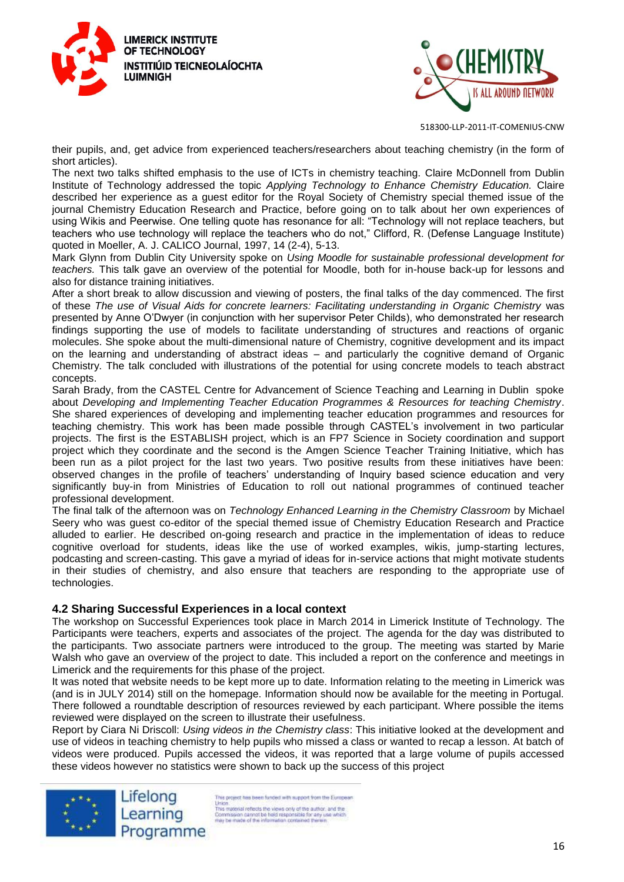



their pupils, and, get advice from experienced teachers/researchers about teaching chemistry (in the form of short articles).

The next two talks shifted emphasis to the use of ICTs in chemistry teaching. Claire McDonnell from Dublin Institute of Technology addressed the topic *Applying Technology to Enhance Chemistry Education.* Claire described her experience as a guest editor for the Royal Society of Chemistry special themed issue of the iournal Chemistry Education Research and Practice, before going on to talk about her own experiences of using Wikis and Peerwise. One telling quote has resonance for all: "Technology will not replace teachers, but teachers who use technology will replace the teachers who do not," Clifford, R. (Defense Language Institute) quoted in Moeller, A. J. CALICO Journal, 1997, 14 (2-4), 5-13.

Mark Glynn from Dublin City University spoke on *Using Moodle for sustainable professional development for teachers.* This talk gave an overview of the potential for Moodle, both for in-house back-up for lessons and also for distance training initiatives.

After a short break to allow discussion and viewing of posters, the final talks of the day commenced. The first of these *The use of Visual Aids for concrete learners: Facilitating understanding in Organic Chemistry* was presented by Anne O'Dwyer (in conjunction with her supervisor Peter Childs), who demonstrated her research findings supporting the use of models to facilitate understanding of structures and reactions of organic molecules. She spoke about the multi-dimensional nature of Chemistry, cognitive development and its impact on the learning and understanding of abstract ideas – and particularly the cognitive demand of Organic Chemistry. The talk concluded with illustrations of the potential for using concrete models to teach abstract concepts.

Sarah Brady, from the CASTEL Centre for Advancement of Science Teaching and Learning in Dublin spoke about *Developing and Implementing Teacher Education Programmes & Resources for teaching Chemistry*. She shared experiences of developing and implementing teacher education programmes and resources for teaching chemistry. This work has been made possible through CASTEL's involvement in two particular projects. The first is the ESTABLISH project, which is an FP7 Science in Society coordination and support project which they coordinate and the second is the Amgen Science Teacher Training Initiative, which has been run as a pilot project for the last two years. Two positive results from these initiatives have been: observed changes in the profile of teachers' understanding of Inquiry based science education and very significantly buy-in from Ministries of Education to roll out national programmes of continued teacher professional development.

The final talk of the afternoon was on *Technology Enhanced Learning in the Chemistry Classroom* by Michael Seery who was guest co-editor of the special themed issue of Chemistry Education Research and Practice alluded to earlier. He described on-going research and practice in the implementation of ideas to reduce cognitive overload for students, ideas like the use of worked examples, wikis, jump-starting lectures, podcasting and screen-casting. This gave a myriad of ideas for in-service actions that might motivate students in their studies of chemistry, and also ensure that teachers are responding to the appropriate use of technologies.

## **4.2 Sharing Successful Experiences in a local context**

The workshop on Successful Experiences took place in March 2014 in Limerick Institute of Technology. The Participants were teachers, experts and associates of the project. The agenda for the day was distributed to the participants. Two associate partners were introduced to the group. The meeting was started by Marie Walsh who gave an overview of the project to date. This included a report on the conference and meetings in Limerick and the requirements for this phase of the project.

It was noted that website needs to be kept more up to date. Information relating to the meeting in Limerick was (and is in JULY 2014) still on the homepage. Information should now be available for the meeting in Portugal. There followed a roundtable description of resources reviewed by each participant. Where possible the items reviewed were displayed on the screen to illustrate their usefulness.

Report by Ciara Ni Driscoll: *Using videos in the Chemistry class*: This initiative looked at the development and use of videos in teaching chemistry to help pupils who missed a class or wanted to recap a lesson. At batch of videos were produced. Pupils accessed the videos, it was reported that a large volume of pupils accessed these videos however no statistics were shown to back up the success of this project



Lifelong Learning Programme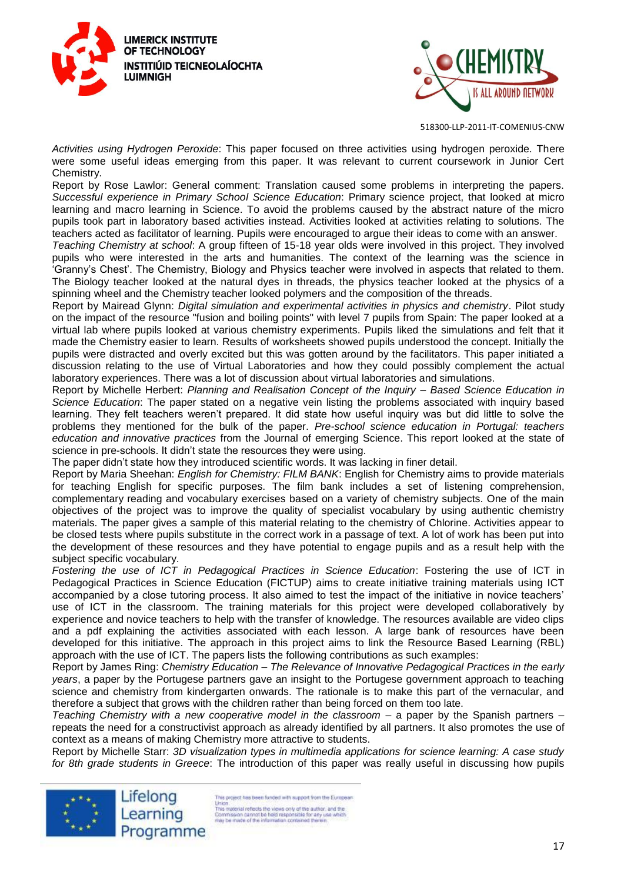



*Activities using Hydrogen Peroxide*: This paper focused on three activities using hydrogen peroxide. There were some useful ideas emerging from this paper. It was relevant to current coursework in Junior Cert Chemistry.

Report by Rose Lawlor: General comment: Translation caused some problems in interpreting the papers. *Successful experience in Primary School Science Education*: Primary science project, that looked at micro learning and macro learning in Science. To avoid the problems caused by the abstract nature of the micro pupils took part in laboratory based activities instead. Activities looked at activities relating to solutions. The teachers acted as facilitator of learning. Pupils were encouraged to argue their ideas to come with an answer.

*Teaching Chemistry at school*: A group fifteen of 15-18 year olds were involved in this project. They involved pupils who were interested in the arts and humanities. The context of the learning was the science in 'Granny's Chest'. The Chemistry, Biology and Physics teacher were involved in aspects that related to them. The Biology teacher looked at the natural dyes in threads, the physics teacher looked at the physics of a spinning wheel and the Chemistry teacher looked polymers and the composition of the threads.

Report by Mairead Glynn: *Digital simulation and experimental activities in physics and chemistry*. Pilot study on the impact of the resource "fusion and boiling points" with level 7 pupils from Spain: The paper looked at a virtual lab where pupils looked at various chemistry experiments. Pupils liked the simulations and felt that it made the Chemistry easier to learn. Results of worksheets showed pupils understood the concept. Initially the pupils were distracted and overly excited but this was gotten around by the facilitators. This paper initiated a discussion relating to the use of Virtual Laboratories and how they could possibly complement the actual laboratory experiences. There was a lot of discussion about virtual laboratories and simulations.

Report by Michelle Herbert: *Planning and Realisation Concept of the Inquiry – Based Science Education in Science Education*: The paper stated on a negative vein listing the problems associated with inquiry based learning. They felt teachers weren't prepared. It did state how useful inquiry was but did little to solve the problems they mentioned for the bulk of the paper. *Pre-school science education in Portugal: teachers education and innovative practices* from the Journal of emerging Science. This report looked at the state of science in pre-schools. It didn't state the resources they were using.

The paper didn't state how they introduced scientific words. It was lacking in finer detail.

Report by Maria Sheehan: *English for Chemistry: FILM BANK*: English for Chemistry aims to provide materials for teaching English for specific purposes. The film bank includes a set of listening comprehension, complementary reading and vocabulary exercises based on a variety of chemistry subjects. One of the main objectives of the project was to improve the quality of specialist vocabulary by using authentic chemistry materials. The paper gives a sample of this material relating to the chemistry of Chlorine. Activities appear to be closed tests where pupils substitute in the correct work in a passage of text. A lot of work has been put into the development of these resources and they have potential to engage pupils and as a result help with the subiect specific vocabulary.

*Fostering the use of ICT in Pedagogical Practices in Science Education*: Fostering the use of ICT in Pedagogical Practices in Science Education (FICTUP) aims to create initiative training materials using ICT accompanied by a close tutoring process. It also aimed to test the impact of the initiative in novice teachers' use of ICT in the classroom. The training materials for this project were developed collaboratively by experience and novice teachers to help with the transfer of knowledge. The resources available are video clips and a pdf explaining the activities associated with each lesson. A large bank of resources have been developed for this initiative. The approach in this project aims to link the Resource Based Learning (RBL) approach with the use of ICT. The papers lists the following contributions as such examples:

Report by James Ring: *Chemistry Education – The Relevance of Innovative Pedagogical Practices in the early years*, a paper by the Portugese partners gave an insight to the Portugese government approach to teaching science and chemistry from kindergarten onwards. The rationale is to make this part of the vernacular, and therefore a subject that grows with the children rather than being forced on them too late.

*Teaching Chemistry with a new cooperative model in the classroom* – a paper by the Spanish partners – repeats the need for a constructivist approach as already identified by all partners. It also promotes the use of context as a means of making Chemistry more attractive to students.

Report by Michelle Starr: *3D visualization types in multimedia applications for science learning: A case study for 8th grade students in Greece*: The introduction of this paper was really useful in discussing how pupils



is project has been funded with support from the European Union.<br>
This material reflects the views only of the author, and the<br>
This may be made of the information contained themen<br>
may be made of the information contained themen<br>
may be made of the information contained themen Programme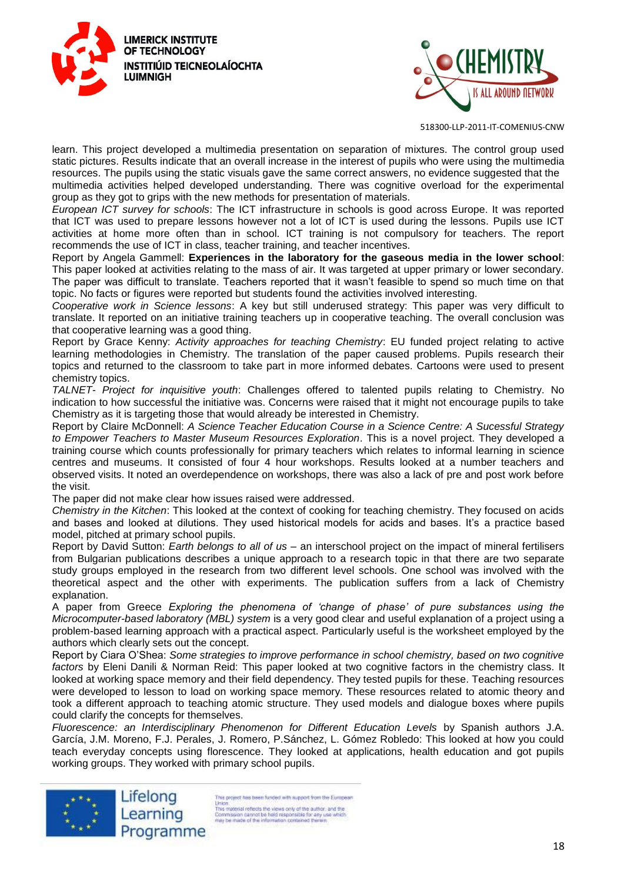



learn. This project developed a multimedia presentation on separation of mixtures. The control group used static pictures. Results indicate that an overall increase in the interest of pupils who were using the multimedia resources. The pupils using the static visuals gave the same correct answers, no evidence suggested that the multimedia activities helped developed understanding. There was cognitive overload for the experimental

group as they got to grips with the new methods for presentation of materials. *European ICT survey for schools*: The ICT infrastructure in schools is good across Europe. It was reported that ICT was used to prepare lessons however not a lot of ICT is used during the lessons. Pupils use ICT activities at home more often than in school. ICT training is not compulsory for teachers. The report

recommends the use of ICT in class, teacher training, and teacher incentives.

Report by Angela Gammell: **Experiences in the laboratory for the gaseous media in the lower school**: This paper looked at activities relating to the mass of air. It was targeted at upper primary or lower secondary. The paper was difficult to translate. Teachers reported that it wasn't feasible to spend so much time on that topic. No facts or figures were reported but students found the activities involved interesting.

*Cooperative work in Science lessons*: A key but still underused strategy: This paper was very difficult to translate. It reported on an initiative training teachers up in cooperative teaching. The overall conclusion was that cooperative learning was a good thing.

Report by Grace Kenny: *Activity approaches for teaching Chemistry*: EU funded project relating to active learning methodologies in Chemistry. The translation of the paper caused problems. Pupils research their topics and returned to the classroom to take part in more informed debates. Cartoons were used to present chemistry topics.

*TALNET- Project for inquisitive youth*: Challenges offered to talented pupils relating to Chemistry. No indication to how successful the initiative was. Concerns were raised that it might not encourage pupils to take Chemistry as it is targeting those that would already be interested in Chemistry.

Report by Claire McDonnell: *A Science Teacher Education Course in a Science Centre: A Sucessful Strategy to Empower Teachers to Master Museum Resources Exploration*. This is a novel project. They developed a training course which counts professionally for primary teachers which relates to informal learning in science centres and museums. It consisted of four 4 hour workshops. Results looked at a number teachers and observed visits. It noted an overdependence on workshops, there was also a lack of pre and post work before the visit.

The paper did not make clear how issues raised were addressed.

*Chemistry in the Kitchen*: This looked at the context of cooking for teaching chemistry. They focused on acids and bases and looked at dilutions. They used historical models for acids and bases. It's a practice based model, pitched at primary school pupils.

Report by David Sutton: *Earth belongs to all of us* – an interschool project on the impact of mineral fertilisers from Bulgarian publications describes a unique approach to a research topic in that there are two separate study groups employed in the research from two different level schools. One school was involved with the theoretical aspect and the other with experiments. The publication suffers from a lack of Chemistry explanation.

A paper from Greece *Exploring the phenomena of 'change of phase' of pure substances using the Microcomputer-based laboratory (MBL) system* is a very good clear and useful explanation of a project using a problem-based learning approach with a practical aspect. Particularly useful is the worksheet employed by the authors which clearly sets out the concept.

Report by Ciara O'Shea: *Some strategies to improve performance in school chemistry, based on two cognitive factors* by Eleni Danili & Norman Reid: This paper looked at two cognitive factors in the chemistry class. It looked at working space memory and their field dependency. They tested pupils for these. Teaching resources were developed to lesson to load on working space memory. These resources related to atomic theory and took a different approach to teaching atomic structure. They used models and dialogue boxes where pupils could clarify the concepts for themselves.

*Fluorescence: an Interdisciplinary Phenomenon for Different Education Levels* by Spanish authors J.A. García, J.M. Moreno, F.J. Perales, J. Romero, P.Sánchez, L. Gómez Robledo: This looked at how you could teach everyday concepts using florescence. They looked at applications, health education and got pupils working groups. They worked with primary school pupils.



is project has been funded with support from the European Union.<br>
This material reflects the views only of the author, and the<br>
This material reflects the views only of the author.<br>
Commission cannot be hisld responsible for any use which<br>
may be made of the information contained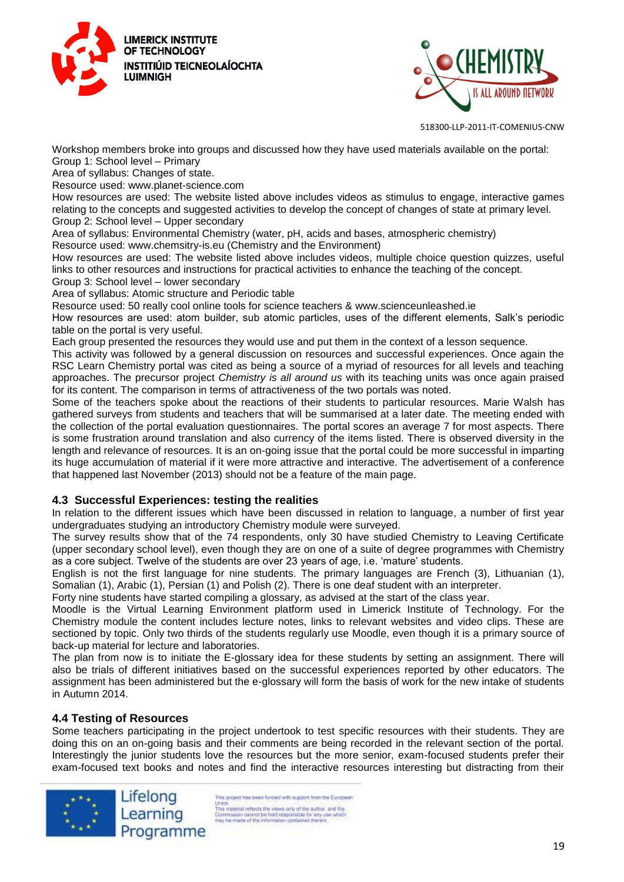



Workshop members broke into groups and discussed how they have used materials available on the portal: Group 1: School level – Primary

Area of syllabus: Changes of state.

Resource used: www.planet-science.com

How resources are used: The website listed above includes videos as stimulus to engage, interactive games relating to the concepts and suggested activities to develop the concept of changes of state at primary level. Group 2: School level – Upper secondary

Area of syllabus: Environmental Chemistry (water, pH, acids and bases, atmospheric chemistry) Resource used: www.chemsitry-is.eu (Chemistry and the Environment)

How resources are used: The website listed above includes videos, multiple choice question quizzes, useful links to other resources and instructions for practical activities to enhance the teaching of the concept. Group 3: School level – lower secondary

Area of syllabus: Atomic structure and Periodic table

Resource used: 50 really cool online tools for science teachers & www.scienceunleashed.ie

How resources are used: atom builder, sub atomic particles, uses of the different elements, Salk's periodic table on the portal is very useful.

Each group presented the resources they would use and put them in the context of a lesson sequence.

This activity was followed by a general discussion on resources and successful experiences. Once again the RSC Learn Chemistry portal was cited as being a source of a myriad of resources for all levels and teaching approaches. The precursor project *Chemistry is all around us* with its teaching units was once again praised for its content. The comparison in terms of attractiveness of the two portals was noted.

Some of the teachers spoke about the reactions of their students to particular resources. Marie Walsh has gathered surveys from students and teachers that will be summarised at a later date. The meeting ended with the collection of the portal evaluation questionnaires. The portal scores an average 7 for most aspects. There is some frustration around translation and also currency of the items listed. There is observed diversity in the length and relevance of resources. It is an on-going issue that the portal could be more successful in imparting its huge accumulation of material if it were more attractive and interactive. The advertisement of a conference that happened last November (2013) should not be a feature of the main page.

## **4.3 Successful Experiences: testing the realities**

In relation to the different issues which have been discussed in relation to language, a number of first year undergraduates studying an introductory Chemistry module were surveyed.

The survey results show that of the 74 respondents, only 30 have studied Chemistry to Leaving Certificate (upper secondary school level), even though they are on one of a suite of degree programmes with Chemistry as a core subject. Twelve of the students are over 23 years of age, i.e. 'mature' students.

English is not the first language for nine students. The primary languages are French (3), Lithuanian (1), Somalian (1), Arabic (1), Persian (1) and Polish (2). There is one deaf student with an interpreter.

Forty nine students have started compiling a glossary, as advised at the start of the class year.

Moodle is the Virtual Learning Environment platform used in Limerick Institute of Technology. For the Chemistry module the content includes lecture notes, links to relevant websites and video clips. These are sectioned by topic. Only two thirds of the students regularly use Moodle, even though it is a primary source of back-up material for lecture and laboratories.

The plan from now is to initiate the E-glossary idea for these students by setting an assignment. There will also be trials of different initiatives based on the successful experiences reported by other educators. The assignment has been administered but the e-glossary will form the basis of work for the new intake of students in Autumn 2014.

## **4.4 Testing of Resources**

Some teachers participating in the project undertook to test specific resources with their students. They are doing this on an on-going basis and their comments are being recorded in the relevant section of the portal. Interestingly the junior students love the resources but the more senior, exam-focused students prefer their exam-focused text books and notes and find the interactive resources interesting but distracting from their



is project has been funded with support from the European Union<br>
This may enter the class only of the author: and the<br>
This may enter the views only of the author: and the<br>
Commission cannot be held responsible for any use which<br>
may be made of the information contained therein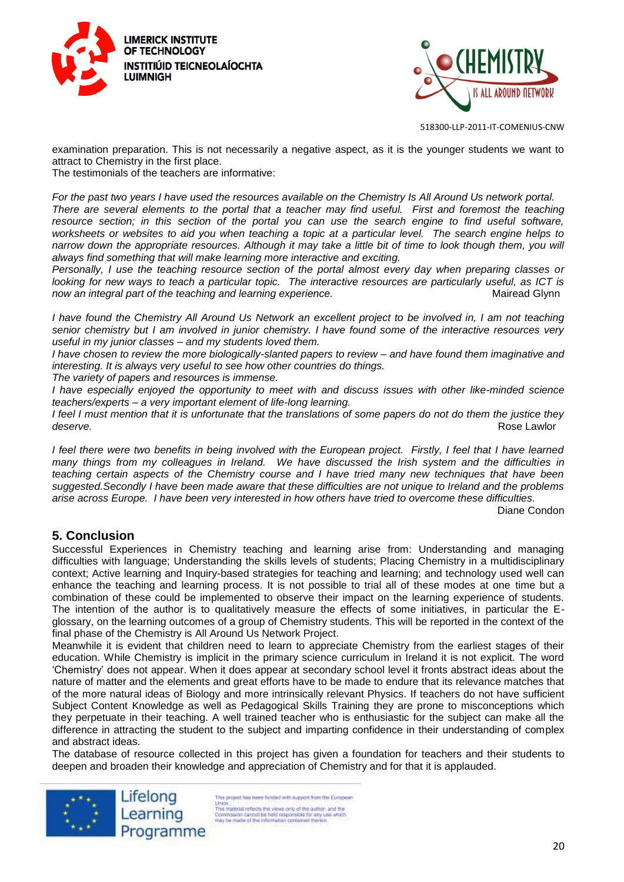



examination preparation. This is not necessarily a negative aspect, as it is the younger students we want to attract to Chemistry in the first place.

The testimonials of the teachers are informative:

*For the past two years I have used the resources available on the Chemistry Is All Around Us network portal. There are several elements to the portal that a teacher may find useful. First and foremost the teaching resource section; in this section of the portal you can use the search engine to find useful software, worksheets or websites to aid you when teaching a topic at a particular level. The search engine helps to narrow down the appropriate resources. Although it may take a little bit of time to look though them, you will always find something that will make learning more interactive and exciting.* 

*Personally, I use the teaching resource section of the portal almost every day when preparing classes or looking for new ways to teach a particular topic. The interactive resources are particularly useful, as ICT is now an integral part of the teaching and learning experience.* The match of the mairead Glynn

*I have found the Chemistry All Around Us Network an excellent project to be involved in, I am not teaching senior chemistry but I am involved in junior chemistry. I have found some of the interactive resources very useful in my junior classes – and my students loved them.*

*I have chosen to review the more biologically-slanted papers to review – and have found them imaginative and interesting. It is always very useful to see how other countries do things.*

*The variety of papers and resources is immense.*

*I have especially enjoyed the opportunity to meet with and discuss issues with other like-minded science teachers/experts – a very important element of life-long learning.*

*I feel I must mention that it is unfortunate that the translations of some papers do not do them the justice they deserve.* Rose Lawlor

*I feel there were two benefits in being involved with the European project. Firstly, I feel that I have learned many things from my colleagues in Ireland. We have discussed the Irish system and the difficulties in teaching certain aspects of the Chemistry course and I have tried many new techniques that have been suggested.Secondly I have been made aware that these difficulties are not unique to Ireland and the problems arise across Europe. I have been very interested in how others have tried to overcome these difficulties.*

Diane Condon

# **5. Conclusion**

Successful Experiences in Chemistry teaching and learning arise from: Understanding and managing difficulties with language; Understanding the skills levels of students; Placing Chemistry in a multidisciplinary context; Active learning and Inquiry-based strategies for teaching and learning; and technology used well can enhance the teaching and learning process. It is not possible to trial all of these modes at one time but a combination of these could be implemented to observe their impact on the learning experience of students. The intention of the author is to qualitatively measure the effects of some initiatives, in particular the Eglossary, on the learning outcomes of a group of Chemistry students. This will be reported in the context of the final phase of the Chemistry is All Around Us Network Project.

Meanwhile it is evident that children need to learn to appreciate Chemistry from the earliest stages of their education. While Chemistry is implicit in the primary science curriculum in Ireland it is not explicit. The word 'Chemistry' does not appear. When it does appear at secondary school level it fronts abstract ideas about the nature of matter and the elements and great efforts have to be made to endure that its relevance matches that of the more natural ideas of Biology and more intrinsically relevant Physics. If teachers do not have sufficient Subject Content Knowledge as well as Pedagogical Skills Training they are prone to misconceptions which they perpetuate in their teaching. A well trained teacher who is enthusiastic for the subject can make all the difference in attracting the student to the subject and imparting confidence in their understanding of complex and abstract ideas.

The database of resource collected in this project has given a foundation for teachers and their students to deepen and broaden their knowledge and appreciation of Chemistry and for that it is applauded.

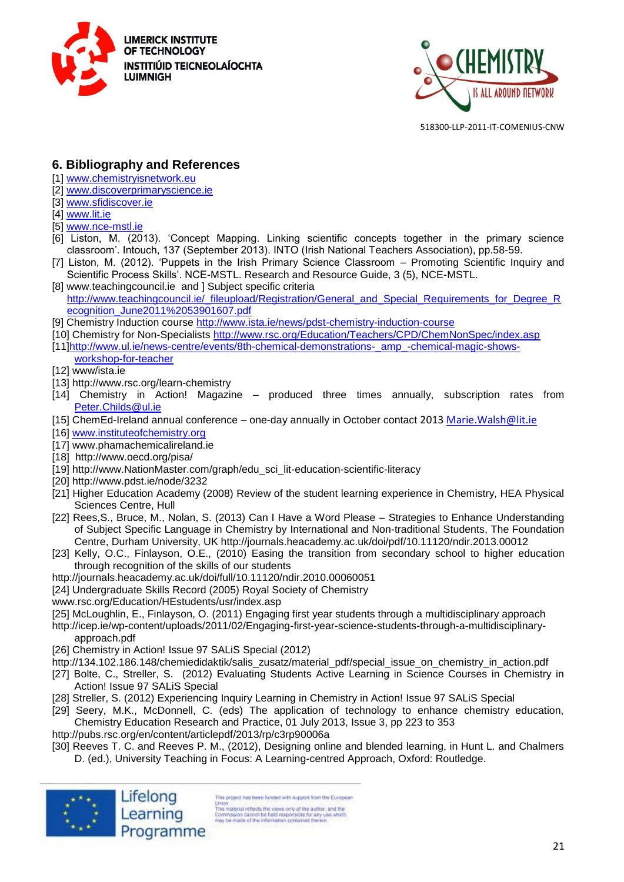



# **6. Bibliography and References**

- [1] [www.chemistryisnetwork.eu](http://www.chemistryisnetwork.eu/)
- [2] [www.discoverprimaryscience.ie](http://www.discoverprimaryscience.ie/)
- [3] [www.sfidiscover.ie](http://www.sfidiscover.ie/)
- [4] [www.lit.ie](http://www.lit.ie/)
- [5] [www.nce-mstl.ie](http://www.nce-mstl.ie/)
- [6] Liston, M. (2013). 'Concept Mapping. Linking scientific concepts together in the primary science classroom'. Intouch, 137 (September 2013). INTO (Irish National Teachers Association), pp.58-59.
- [7] Liston, M. (2012). 'Puppets in the Irish Primary Science Classroom Promoting Scientific Inquiry and Scientific Process Skills'. NCE-MSTL. Research and Resource Guide, 3 (5), NCE-MSTL.
- [8] www.teachingcouncil.ie and ] Subject specific criteria [http://www.teachingcouncil.ie/\\_fileupload/Registration/General\\_and\\_Special\\_Requirements\\_for\\_Degree\\_R](http://www.teachingcouncil.ie/_fileupload/Registration/General_and_Special_Requirements_for_Degree_Recognition_June2011%2053901607.pdf) [ecognition\\_June2011%2053901607.pdf](http://www.teachingcouncil.ie/_fileupload/Registration/General_and_Special_Requirements_for_Degree_Recognition_June2011%2053901607.pdf)
- [9] Chemistry Induction course<http://www.ista.ie/news/pdst-chemistry-induction-course>
- [10] Chemistry for Non-Specialists<http://www.rsc.org/Education/Teachers/CPD/ChemNonSpec/index.asp>
- [11[\]http://www.ul.ie/news-centre/events/8th-chemical-demonstrations-\\_amp\\_-chemical-magic-shows](http://www.ul.ie/news-centre/events/8th-chemical-demonstrations-_amp_-chemical-magic-shows-workshop-for-teacher)[workshop-for-teacher](http://www.ul.ie/news-centre/events/8th-chemical-demonstrations-_amp_-chemical-magic-shows-workshop-for-teacher)
- [12] www/ista.ie
- [13] http://www.rsc.org/learn-chemistry
- [14] Chemistry in Action! Magazine produced three times annually, subscription rates from [Peter.Childs@ul.ie](mailto:Peter.Childs@ul.ie)
- [15] ChemEd-Ireland annual conference one-day annually in October contact 2013 [Marie.Walsh@lit.ie](mailto:Marie.Walsh@lit.ie)
- [16] [www.instituteofchemistry.org](http://www.instituteofchemistry.org/)
- [17] www.phamachemicalireland.ie
- [18] http://www.oecd.org/pisa/
- [19] http://www.NationMaster.com/graph/edu\_sci\_lit-education-scientific-literacy
- [20] http://www.pdst.ie/node/3232
- [21] Higher Education Academy (2008) Review of the student learning experience in Chemistry, HEA Physical Sciences Centre, Hull
- [22] Rees,S., Bruce, M., Nolan, S. (2013) Can I Have a Word Please Strategies to Enhance Understanding of Subject Specific Language in Chemistry by International and Non-traditional Students, The Foundation Centre, Durham University, UK http://journals.heacademy.ac.uk/doi/pdf/10.11120/ndir.2013.00012
- [23] Kelly, O.C., Finlayson, O.E., (2010) Easing the transition from secondary school to higher education through recognition of the skills of our students
- http://journals.heacademy.ac.uk/doi/full/10.11120/ndir.2010.00060051
- [24] Undergraduate Skills Record (2005) Royal Society of Chemistry
- www.rsc.org/Education/HEstudents/usr/index.asp
- [25] McLoughlin, E., Finlayson, O. (2011) Engaging first year students through a multidisciplinary approach
- http://icep.ie/wp-content/uploads/2011/02/Engaging-first-year-science-students-through-a-multidisciplinaryapproach.pdf
- [26] Chemistry in Action! Issue 97 SALiS Special (2012)
- http://134.102.186.148/chemiedidaktik/salis\_zusatz/material\_pdf/special\_issue\_on\_chemistry\_in\_action.pdf
- [27] Bolte, C., Streller, S. (2012) Evaluating Students Active Learning in Science Courses in Chemistry in Action! Issue 97 SALIS Special
- [28] Streller, S. (2012) Experiencing Inquiry Learning in Chemistry in Action! Issue 97 SALiS Special
- [29] Seery, M.K., McDonnell, C. (eds) The application of technology to enhance chemistry education, Chemistry Education Research and Practice, 01 July 2013, Issue 3, pp 223 to 353
- http://pubs.rsc.org/en/content/articlepdf/2013/rp/c3rp90006a
- [30] Reeves T. C. and Reeves P. M., (2012), Designing online and blended learning, in Hunt L. and Chalmers D. (ed.), University Teaching in Focus: A Learning-centred Approach, Oxford: Routledge.



is project has been funded with support from the European Union<br>
This may enter the class only of the author: and the<br>
This may enter the views only of the author: and the<br>
Commission cannot be held responsible for any use which<br>
may be made of the information contained therein